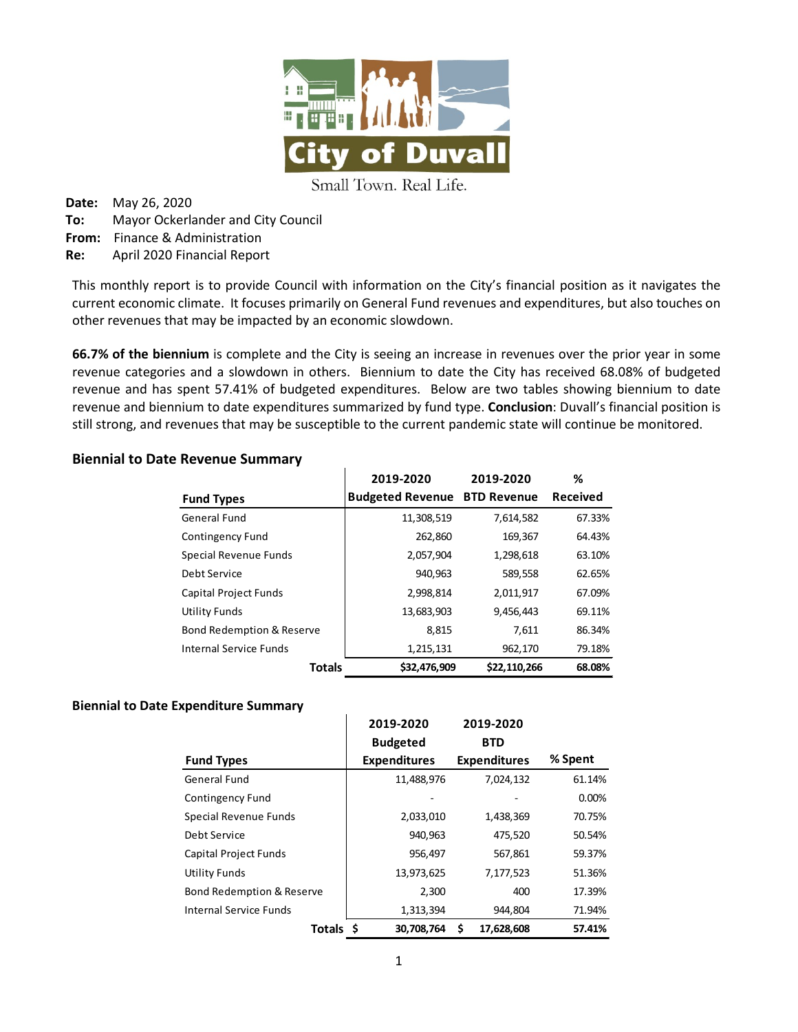

Small Town. Real Life.

**Date:** May 26, 2020 **To:** Mayor Ockerlander and City Council **From:** Finance & Administration **Re:** April 2020 Financial Report

This monthly report is to provide Council with information on the City's financial position as it navigates the current economic climate. It focuses primarily on General Fund revenues and expenditures, but also touches on other revenues that may be impacted by an economic slowdown.

**66.7% of the biennium** is complete and the City is seeing an increase in revenues over the prior year in some revenue categories and a slowdown in others. Biennium to date the City has received 68.08% of budgeted revenue and has spent 57.41% of budgeted expenditures. Below are two tables showing biennium to date revenue and biennium to date expenditures summarized by fund type. **Conclusion**: Duvall's financial position is still strong, and revenues that may be susceptible to the current pandemic state will continue be monitored.

### **Biennial to Date Revenue Summary**

|                                      | 2019-2020               | 2019-2020          | ℅               |
|--------------------------------------|-------------------------|--------------------|-----------------|
| <b>Fund Types</b>                    | <b>Budgeted Revenue</b> | <b>BTD Revenue</b> | <b>Received</b> |
| General Fund                         | 11,308,519              | 7,614,582          | 67.33%          |
| Contingency Fund                     | 262,860                 | 169,367            | 64.43%          |
| Special Revenue Funds                | 2,057,904               | 1,298,618          | 63.10%          |
| Debt Service                         | 940,963                 | 589,558            | 62.65%          |
| <b>Capital Project Funds</b>         | 2,998,814               | 2,011,917          | 67.09%          |
| Utility Funds                        | 13,683,903              | 9,456,443          | 69.11%          |
| <b>Bond Redemption &amp; Reserve</b> | 8,815                   | 7,611              | 86.34%          |
| Internal Service Funds               | 1,215,131               | 962,170            | 79.18%          |
| <b>Totals</b>                        | \$32,476,909            | \$22,110,266       | 68.08%          |

#### **Biennial to Date Expenditure Summary**

|                           | 2019-2020           | 2019-2020           |         |          |
|---------------------------|---------------------|---------------------|---------|----------|
|                           | <b>Budgeted</b>     | <b>BTD</b>          |         |          |
| <b>Fund Types</b>         | <b>Expenditures</b> | <b>Expenditures</b> |         | % Spent  |
| General Fund              | 11,488,976          | 7,024,132           |         | 61.14%   |
| Contingency Fund          |                     |                     |         | $0.00\%$ |
| Special Revenue Funds     | 2,033,010           | 1,438,369           |         | 70.75%   |
| Debt Service              | 940,963             |                     | 475,520 | 50.54%   |
| Capital Project Funds     | 956,497             |                     | 567,861 | 59.37%   |
| Utility Funds             | 13,973,625          | 7,177,523           |         | 51.36%   |
| Bond Redemption & Reserve | 2,300               |                     | 400     | 17.39%   |
| Internal Service Funds    | 1,313,394           |                     | 944,804 | 71.94%   |
| Totals \$                 | 30.708.764          | 17,628,608<br>S     |         | 57.41%   |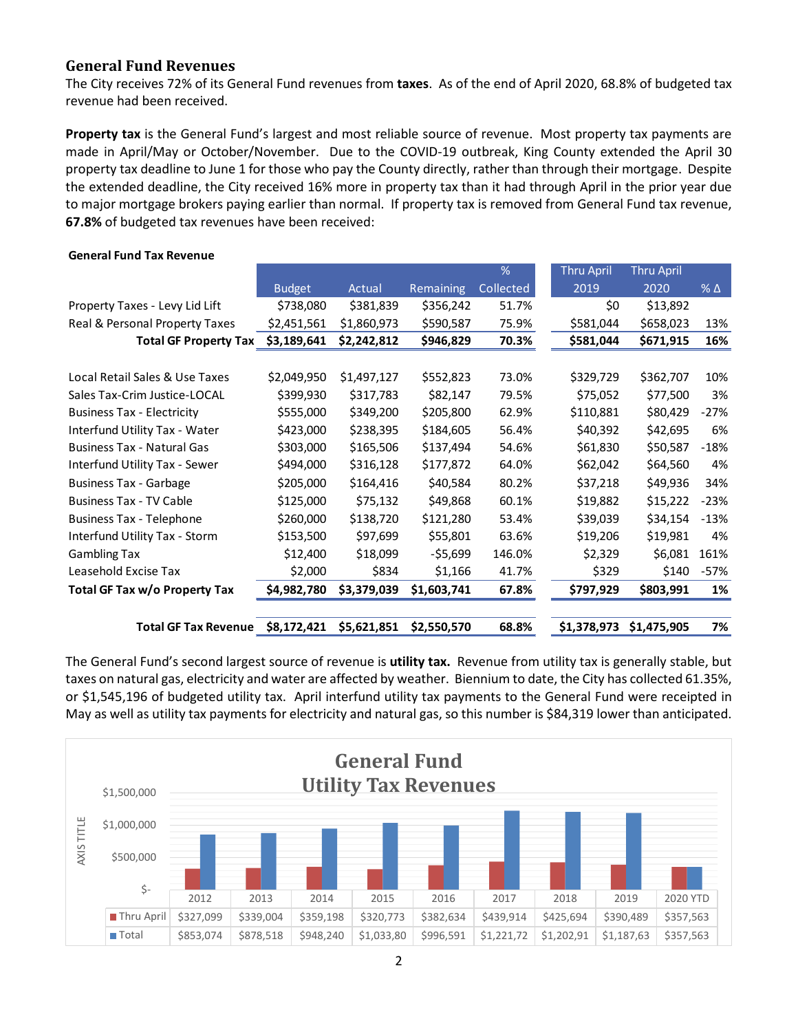#### **General Fund Revenues**

The City receives 72% of its General Fund revenues from **taxes**. As of the end of April 2020, 68.8% of budgeted tax revenue had been received.

**Property tax** is the General Fund's largest and most reliable source of revenue. Most property tax payments are made in April/May or October/November. Due to the COVID-19 outbreak, King County extended the April 30 property tax deadline to June 1 for those who pay the County directly, rather than through their mortgage. Despite the extended deadline, the City received 16% more in property tax than it had through April in the prior year due to major mortgage brokers paying earlier than normal. If property tax is removed from General Fund tax revenue, **67.8%** of budgeted tax revenues have been received:

|                                   |               |             |             | %         | <b>Thru April</b> | <b>Thru April</b> |                 |
|-----------------------------------|---------------|-------------|-------------|-----------|-------------------|-------------------|-----------------|
|                                   |               |             |             |           |                   |                   |                 |
|                                   | <b>Budget</b> | Actual      | Remaining   | Collected | 2019              | 2020              | $%$ $\triangle$ |
| Property Taxes - Levy Lid Lift    | \$738,080     | \$381,839   | \$356,242   | 51.7%     | \$0               | \$13,892          |                 |
| Real & Personal Property Taxes    | \$2,451,561   | \$1,860,973 | \$590,587   | 75.9%     | \$581,044         | \$658,023         | 13%             |
| <b>Total GF Property Tax</b>      | \$3,189,641   | \$2,242,812 | \$946,829   | 70.3%     | \$581,044         | \$671,915         | 16%             |
|                                   |               |             |             |           |                   |                   |                 |
| Local Retail Sales & Use Taxes    | \$2,049,950   | \$1,497,127 | \$552,823   | 73.0%     | \$329,729         | \$362,707         | 10%             |
| Sales Tax-Crim Justice-LOCAL      | \$399,930     | \$317,783   | \$82,147    | 79.5%     | \$75,052          | \$77,500          | 3%              |
| <b>Business Tax - Electricity</b> | \$555,000     | \$349,200   | \$205,800   | 62.9%     | \$110,881         | \$80,429          | $-27%$          |
| Interfund Utility Tax - Water     | \$423,000     | \$238,395   | \$184,605   | 56.4%     | \$40,392          | \$42,695          | 6%              |
| <b>Business Tax - Natural Gas</b> | \$303,000     | \$165,506   | \$137,494   | 54.6%     | \$61,830          | \$50,587          | $-18%$          |
| Interfund Utility Tax - Sewer     | \$494,000     | \$316,128   | \$177,872   | 64.0%     | \$62,042          | \$64,560          | 4%              |
| <b>Business Tax - Garbage</b>     | \$205,000     | \$164,416   | \$40,584    | 80.2%     | \$37,218          | \$49,936          | 34%             |
| <b>Business Tax - TV Cable</b>    | \$125,000     | \$75,132    | \$49,868    | 60.1%     | \$19,882          | \$15,222          | $-23%$          |
| <b>Business Tax - Telephone</b>   | \$260,000     | \$138,720   | \$121,280   | 53.4%     | \$39,039          | \$34,154          | $-13%$          |
| Interfund Utility Tax - Storm     | \$153,500     | \$97,699    | \$55,801    | 63.6%     | \$19,206          | \$19,981          | 4%              |
| <b>Gambling Tax</b>               | \$12,400      | \$18,099    | $-55,699$   | 146.0%    | \$2,329           | \$6,081           | 161%            |
| Leasehold Excise Tax              | \$2,000       | \$834       | \$1,166     | 41.7%     | \$329             | \$140             | $-57%$          |
| Total GF Tax w/o Property Tax     | \$4,982,780   | \$3,379,039 | \$1,603,741 | 67.8%     | \$797,929         | \$803,991         | 1%              |
| <b>Total GF Tax Revenue</b>       | \$8,172,421   | \$5,621,851 | \$2,550,570 | 68.8%     | \$1,378,973       | \$1,475,905       | 7%              |

#### **General Fund Tax Revenue**

The General Fund's second largest source of revenue is **utility tax.** Revenue from utility tax is generally stable, but taxes on natural gas, electricity and water are affected by weather. Biennium to date, the City has collected 61.35%, or \$1,545,196 of budgeted utility tax. April interfund utility tax payments to the General Fund were receipted in May as well as utility tax payments for electricity and natural gas, so this number is \$84,319 lower than anticipated.

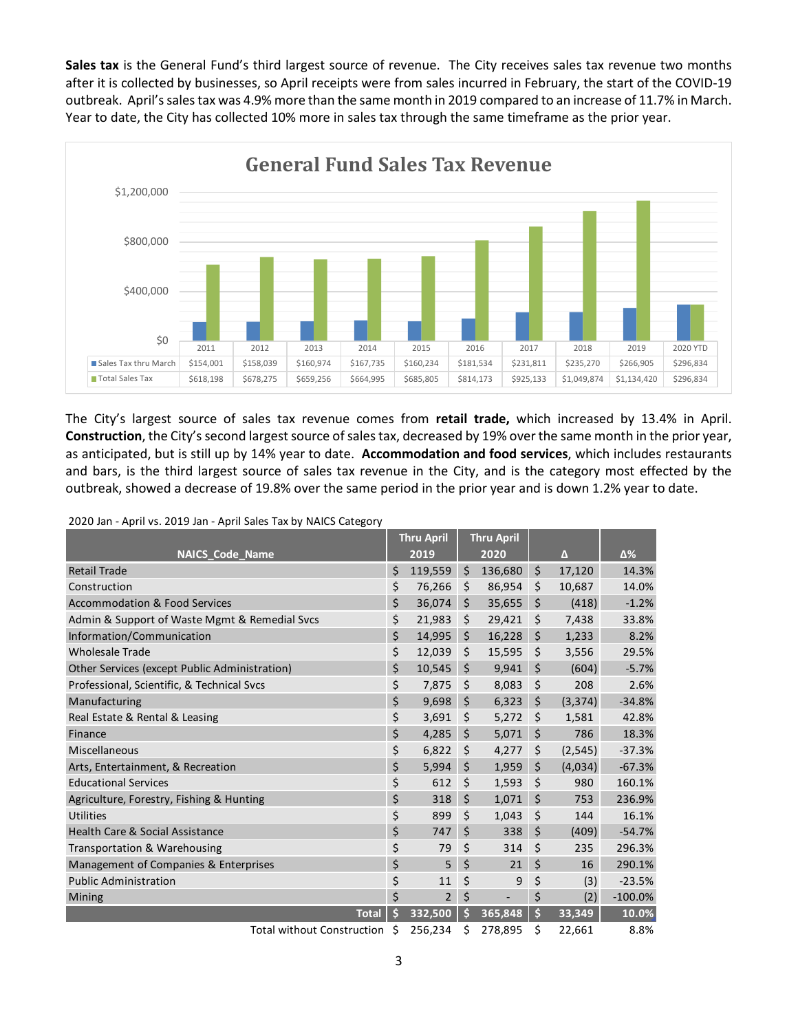**Sales tax** is the General Fund's third largest source of revenue. The City receives sales tax revenue two months after it is collected by businesses, so April receipts were from sales incurred in February, the start of the COVID-19 outbreak. April's sales tax was 4.9% more than the same month in 2019 compared to an increase of 11.7% in March. Year to date, the City has collected 10% more in sales tax through the same timeframe as the prior year.



The City's largest source of sales tax revenue comes from **retail trade,** which increased by 13.4% in April. **Construction**, the City's second largest source of sales tax, decreased by 19% over the same month in the prior year, as anticipated, but is still up by 14% year to date. **Accommodation and food services**, which includes restaurants and bars, is the third largest source of sales tax revenue in the City, and is the category most effected by the outbreak, showed a decrease of 19.8% over the same period in the prior year and is down 1.2% year to date.

2020 Jan - April vs. 2019 Jan - April Sales Tax by NAICS Category

|                                               |    | <b>Thru April</b> | <b>Thru April</b> |                |            |
|-----------------------------------------------|----|-------------------|-------------------|----------------|------------|
| <b>NAICS Code Name</b>                        |    | 2019              | 2020              | $\Delta$       | Δ%         |
| <b>Retail Trade</b>                           | \$ | 119,559           | \$<br>136,680     | \$<br>17,120   | 14.3%      |
| Construction                                  | \$ | 76,266            | \$<br>86,954      | \$<br>10,687   | 14.0%      |
| <b>Accommodation &amp; Food Services</b>      | \$ | 36,074            | \$<br>35,655      | \$<br>(418)    | $-1.2%$    |
| Admin & Support of Waste Mgmt & Remedial Svcs | \$ | 21,983            | \$<br>29,421      | \$<br>7,438    | 33.8%      |
| Information/Communication                     | \$ | 14,995            | \$<br>16,228      | \$<br>1,233    | 8.2%       |
| <b>Wholesale Trade</b>                        | \$ | 12,039            | \$<br>15,595      | \$<br>3,556    | 29.5%      |
| Other Services (except Public Administration) | \$ | 10,545            | \$<br>9,941       | \$<br>(604)    | $-5.7%$    |
| Professional, Scientific, & Technical Svcs    | \$ | 7,875             | \$<br>8,083       | \$<br>208      | 2.6%       |
| Manufacturing                                 | \$ | 9,698             | \$<br>6,323       | \$<br>(3,374)  | $-34.8%$   |
| Real Estate & Rental & Leasing                | \$ | 3,691             | \$<br>5,272       | \$<br>1,581    | 42.8%      |
| Finance                                       | \$ | 4,285             | \$<br>5,071       | \$<br>786      | 18.3%      |
| Miscellaneous                                 | \$ | 6,822             | \$<br>4,277       | \$<br>(2, 545) | $-37.3%$   |
| Arts, Entertainment, & Recreation             | \$ | 5,994             | \$<br>1,959       | \$<br>(4,034)  | $-67.3%$   |
| <b>Educational Services</b>                   | \$ | 612               | \$<br>1,593       | \$<br>980      | 160.1%     |
| Agriculture, Forestry, Fishing & Hunting      | \$ | 318               | \$<br>1,071       | \$<br>753      | 236.9%     |
| Utilities                                     | \$ | 899               | \$<br>1,043       | \$<br>144      | 16.1%      |
| <b>Health Care &amp; Social Assistance</b>    | \$ | 747               | \$<br>338         | \$<br>(409)    | $-54.7%$   |
| Transportation & Warehousing                  | \$ | 79                | \$<br>314         | \$<br>235      | 296.3%     |
| Management of Companies & Enterprises         | \$ | 5                 | \$<br>21          | \$<br>16       | 290.1%     |
| <b>Public Administration</b>                  | \$ | 11                | \$<br>9           | \$<br>(3)      | $-23.5%$   |
| Mining                                        | \$ | $\overline{2}$    | \$<br>÷,          | \$<br>(2)      | $-100.0\%$ |
| <b>Total</b>                                  | Ś  | 332,500           | \$<br>365,848     | \$<br>33,349   | 10.0%      |
| <b>Total without Construction</b>             | Ś  | 256,234           | \$<br>278,895     | \$<br>22,661   | 8.8%       |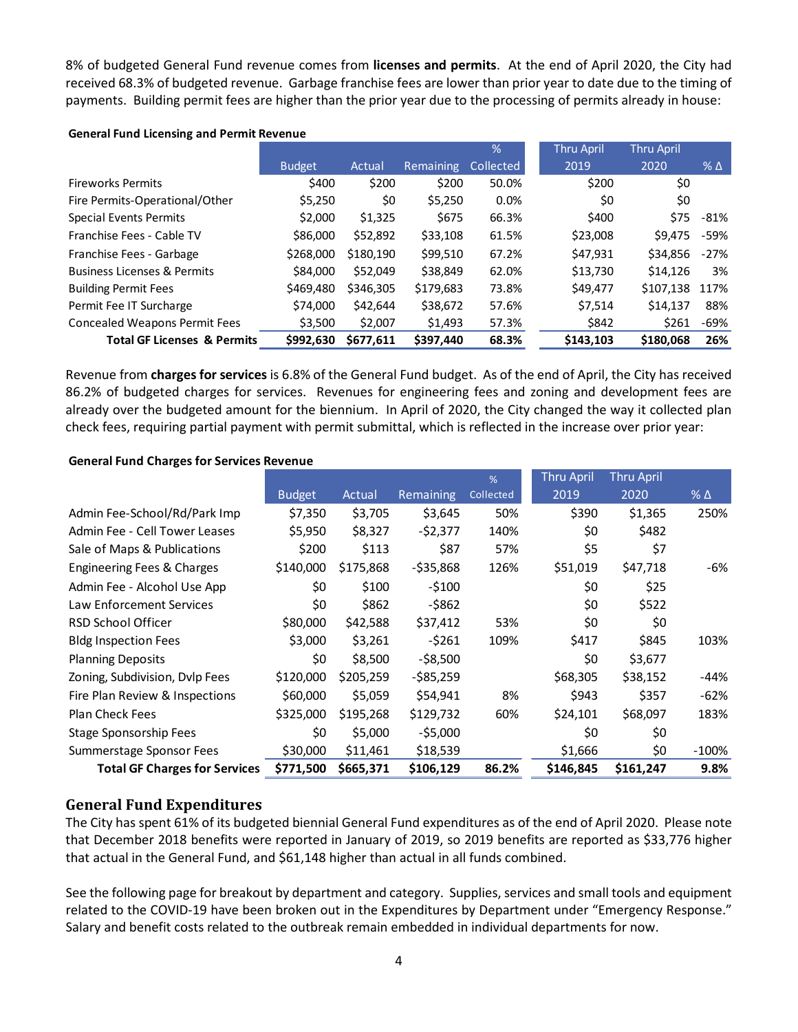8% of budgeted General Fund revenue comes from **licenses and permits**. At the end of April 2020, the City had received 68.3% of budgeted revenue. Garbage franchise fees are lower than prior year to date due to the timing of payments. Building permit fees are higher than the prior year due to the processing of permits already in house:

#### **General Fund Licensing and Permit Revenue**

|                                        |               |           |                  | $\frac{9}{6}$ | <b>Thru April</b> | <b>Thru April</b> |              |
|----------------------------------------|---------------|-----------|------------------|---------------|-------------------|-------------------|--------------|
|                                        | <b>Budget</b> | Actual    | <b>Remaining</b> | Collected     | 2019              | 2020              | $%$ $\Delta$ |
| <b>Fireworks Permits</b>               | \$400         | \$200     | \$200            | 50.0%         | \$200             | \$0               |              |
| Fire Permits-Operational/Other         | \$5,250       | \$0       | \$5,250          | 0.0%          | \$0               | \$0               |              |
| <b>Special Events Permits</b>          | \$2,000       | \$1,325   | \$675            | 66.3%         | \$400             | \$75              | -81%         |
| Franchise Fees - Cable TV              | \$86,000      | \$52,892  | \$33,108         | 61.5%         | \$23,008          | \$9.475           | -59%         |
| Franchise Fees - Garbage               | \$268,000     | \$180,190 | \$99,510         | 67.2%         | \$47,931          | \$34,856          | $-27%$       |
| <b>Business Licenses &amp; Permits</b> | \$84,000      | \$52.049  | \$38,849         | 62.0%         | \$13,730          | \$14.126          | 3%           |
| <b>Building Permit Fees</b>            | \$469,480     | \$346,305 | \$179,683        | 73.8%         | \$49,477          | \$107,138         | 117%         |
| Permit Fee IT Surcharge                | \$74,000      | \$42,644  | \$38,672         | 57.6%         | \$7,514           | \$14,137          | 88%          |
| <b>Concealed Weapons Permit Fees</b>   | \$3,500       | \$2,007   | \$1,493          | 57.3%         | \$842             | \$261             | -69%         |
| <b>Total GF Licenses &amp; Permits</b> | \$992,630     | \$677,611 | \$397,440        | 68.3%         | \$143,103         | \$180,068         | 26%          |

Revenue from **charges for services** is 6.8% of the General Fund budget. As of the end of April, the City has received 86.2% of budgeted charges for services. Revenues for engineering fees and zoning and development fees are already over the budgeted amount for the biennium. In April of 2020, the City changed the way it collected plan check fees, requiring partial payment with permit submittal, which is reflected in the increase over prior year:

#### **General Fund Charges for Services Revenue**

|                                      |               |           |                  | %         | <b>Thru April</b> | <b>Thru April</b> |                 |
|--------------------------------------|---------------|-----------|------------------|-----------|-------------------|-------------------|-----------------|
|                                      | <b>Budget</b> | Actual    | <b>Remaining</b> | Collected | 2019              | 2020              | $%$ $\triangle$ |
| Admin Fee-School/Rd/Park Imp         | \$7,350       | \$3,705   | \$3,645          | 50%       | \$390             | \$1,365           | 250%            |
| Admin Fee - Cell Tower Leases        | \$5,950       | \$8,327   | -\$2,377         | 140%      | \$0               | \$482             |                 |
| Sale of Maps & Publications          | \$200         | \$113     | \$87             | 57%       | \$5               | \$7               |                 |
| Engineering Fees & Charges           | \$140,000     | \$175,868 | $-535,868$       | 126%      | \$51,019          | \$47,718          | -6%             |
| Admin Fee - Alcohol Use App          | \$0           | \$100     | $-5100$          |           | \$0               | \$25              |                 |
| <b>Law Enforcement Services</b>      | \$0           | \$862     | -\$862           |           | \$0               | \$522             |                 |
| <b>RSD School Officer</b>            | \$80,000      | \$42,588  | \$37,412         | 53%       | \$0               | \$0               |                 |
| <b>Bldg Inspection Fees</b>          | \$3,000       | \$3,261   | $-5261$          | 109%      | \$417             | \$845             | 103%            |
| <b>Planning Deposits</b>             | \$0           | \$8,500   | $-$ \$8,500      |           | \$0               | \$3,677           |                 |
| Zoning, Subdivision, Dvlp Fees       | \$120,000     | \$205,259 | -\$85,259        |           | \$68,305          | \$38,152          | -44%            |
| Fire Plan Review & Inspections       | \$60,000      | \$5,059   | \$54,941         | 8%        | \$943             | \$357             | $-62%$          |
| <b>Plan Check Fees</b>               | \$325,000     | \$195,268 | \$129,732        | 60%       | \$24,101          | \$68,097          | 183%            |
| Stage Sponsorship Fees               | \$0           | \$5,000   | $-$ \$5,000      |           | \$0               | \$0               |                 |
| Summerstage Sponsor Fees             | \$30,000      | \$11,461  | \$18,539         |           | \$1,666           | \$0               | -100%           |
| <b>Total GF Charges for Services</b> | \$771,500     | \$665,371 | \$106,129        | 86.2%     | \$146,845         | \$161,247         | 9.8%            |

### **General Fund Expenditures**

The City has spent 61% of its budgeted biennial General Fund expenditures as of the end of April 2020. Please note that December 2018 benefits were reported in January of 2019, so 2019 benefits are reported as \$33,776 higher that actual in the General Fund, and \$61,148 higher than actual in all funds combined.

See the following page for breakout by department and category. Supplies, services and small tools and equipment related to the COVID-19 have been broken out in the Expenditures by Department under "Emergency Response." Salary and benefit costs related to the outbreak remain embedded in individual departments for now.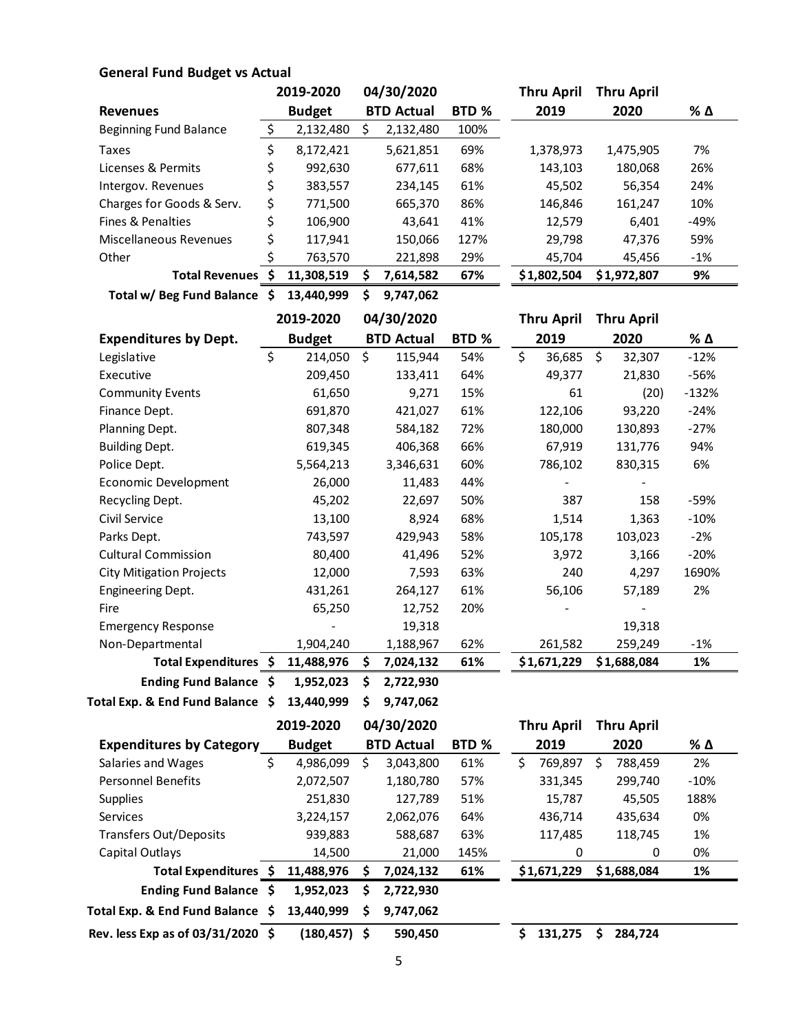### **General Fund Budget vs Actual**

|                           |    | 2019-2020     |   | 04/30/2020        |       | <b>Thru April</b> | <b>Thru April</b> |       |
|---------------------------|----|---------------|---|-------------------|-------|-------------------|-------------------|-------|
| <b>Revenues</b>           |    | <b>Budget</b> |   | <b>BTD Actual</b> | BTD % | 2019              | 2020              | % Δ   |
| Beginning Fund Balance    | Ś  | 2,132,480     | S | 2,132,480         | 100%  |                   |                   |       |
| Taxes                     | \$ | 8,172,421     |   | 5,621,851         | 69%   | 1,378,973         | 1,475,905         | 7%    |
| Licenses & Permits        | \$ | 992,630       |   | 677,611           | 68%   | 143,103           | 180,068           | 26%   |
| Intergov. Revenues        | \$ | 383,557       |   | 234,145           | 61%   | 45,502            | 56,354            | 24%   |
| Charges for Goods & Serv. | \$ | 771,500       |   | 665,370           | 86%   | 146,846           | 161,247           | 10%   |
| Fines & Penalties         | \$ | 106,900       |   | 43,641            | 41%   | 12,579            | 6,401             | -49%  |
| Miscellaneous Revenues    | \$ | 117,941       |   | 150,066           | 127%  | 29,798            | 47,376            | 59%   |
| Other                     | Ś  | 763,570       |   | 221,898           | 29%   | 45,704            | 45,456            | $-1%$ |
| <b>Total Revenues</b>     | S  | 11.308.519    | ς | 7,614,582         | 67%   | \$1,802,504       | \$1,972,807       | 9%    |

**Total w/ Beg Fund Balance \$ 13,440,999 \$ 9,747,062**

|                                 | 2019-2020     | 04/30/2020 |                   |       | <b>Thru April</b> |             | <b>Thru April</b> |             |         |
|---------------------------------|---------------|------------|-------------------|-------|-------------------|-------------|-------------------|-------------|---------|
| <b>Expenditures by Dept.</b>    | <b>Budget</b> |            | <b>BTD Actual</b> | BTD % |                   | 2019        |                   | 2020        | % Δ     |
| Legislative                     | \$<br>214,050 | \$         | 115,944           | 54%   | \$                | 36,685      | \$                | 32,307      | $-12%$  |
| Executive                       | 209,450       |            | 133,411           | 64%   |                   | 49,377      |                   | 21,830      | -56%    |
| <b>Community Events</b>         | 61,650        |            | 9,271             | 15%   |                   | 61          |                   | (20)        | $-132%$ |
| Finance Dept.                   | 691,870       |            | 421,027           | 61%   |                   | 122,106     |                   | 93,220      | $-24%$  |
| Planning Dept.                  | 807,348       |            | 584,182           | 72%   |                   | 180,000     |                   | 130,893     | $-27%$  |
| <b>Building Dept.</b>           | 619,345       |            | 406,368           | 66%   |                   | 67,919      |                   | 131,776     | 94%     |
| Police Dept.                    | 5,564,213     |            | 3,346,631         | 60%   |                   | 786,102     |                   | 830,315     | 6%      |
| Economic Development            | 26,000        |            | 11,483            | 44%   |                   |             |                   |             |         |
| Recycling Dept.                 | 45,202        |            | 22,697            | 50%   |                   | 387         |                   | 158         | -59%    |
| Civil Service                   | 13,100        |            | 8,924             | 68%   |                   | 1,514       |                   | 1,363       | $-10%$  |
| Parks Dept.                     | 743,597       |            | 429,943           | 58%   |                   | 105,178     |                   | 103,023     | $-2%$   |
| <b>Cultural Commission</b>      | 80,400        |            | 41,496            | 52%   |                   | 3,972       |                   | 3,166       | $-20%$  |
| <b>City Mitigation Projects</b> | 12,000        |            | 7,593             | 63%   |                   | 240         |                   | 4,297       | 1690%   |
| <b>Engineering Dept.</b>        | 431,261       |            | 264,127           | 61%   |                   | 56,106      |                   | 57,189      | 2%      |
| Fire                            | 65,250        |            | 12,752            | 20%   |                   |             |                   |             |         |
| <b>Emergency Response</b>       |               |            | 19,318            |       |                   |             |                   | 19,318      |         |
| Non-Departmental                | 1,904,240     |            | 1,188,967         | 62%   |                   | 261,582     |                   | 259,249     | -1%     |
| Total Expenditures \$           | 11,488,976    | \$         | 7,024,132         | 61%   |                   | \$1,671,229 |                   | \$1,688,084 | 1%      |
| Ending Fund Balance \$          | 1,952,023     | \$         | 2,722,930         |       |                   |             |                   |             |         |



|                                     | 2019-2020       |   | 04/30/2020        |       | <b>Thru April</b> |   | <b>Thru April</b> |        |
|-------------------------------------|-----------------|---|-------------------|-------|-------------------|---|-------------------|--------|
| <b>Expenditures by Category</b>     | <b>Budget</b>   |   | <b>BTD Actual</b> | BTD % | 2019              |   | 2020              | % Δ    |
| Salaries and Wages                  | \$<br>4,986,099 | Ś | 3,043,800         | 61%   | \$<br>769.897     | Ś | 788,459           | 2%     |
| <b>Personnel Benefits</b>           | 2,072,507       |   | 1,180,780         | 57%   | 331,345           |   | 299,740           | $-10%$ |
| <b>Supplies</b>                     | 251,830         |   | 127,789           | 51%   | 15,787            |   | 45.505            | 188%   |
| <b>Services</b>                     | 3,224,157       |   | 2,062,076         | 64%   | 436,714           |   | 435.634           | 0%     |
| <b>Transfers Out/Deposits</b>       | 939,883         |   | 588,687           | 63%   | 117,485           |   | 118,745           | 1%     |
| Capital Outlays                     | 14,500          |   | 21,000            | 145%  | 0                 |   | 0                 | 0%     |
| Total Expenditures \$               | 11,488,976      |   | 7,024,132         | 61%   | \$1,671,229       |   | \$1,688,084       | 1%     |
| Ending Fund Balance \$              | 1,952,023       | S | 2,722,930         |       |                   |   |                   |        |
| Total Exp. & End Fund Balance \$    | 13,440,999      |   | 9,747,062         |       |                   |   |                   |        |
| Rev. less Exp as of $03/31/2020$ \$ | (180,457) \$    |   | 590.450           |       | \$<br>131.275     | S | 284.724           |        |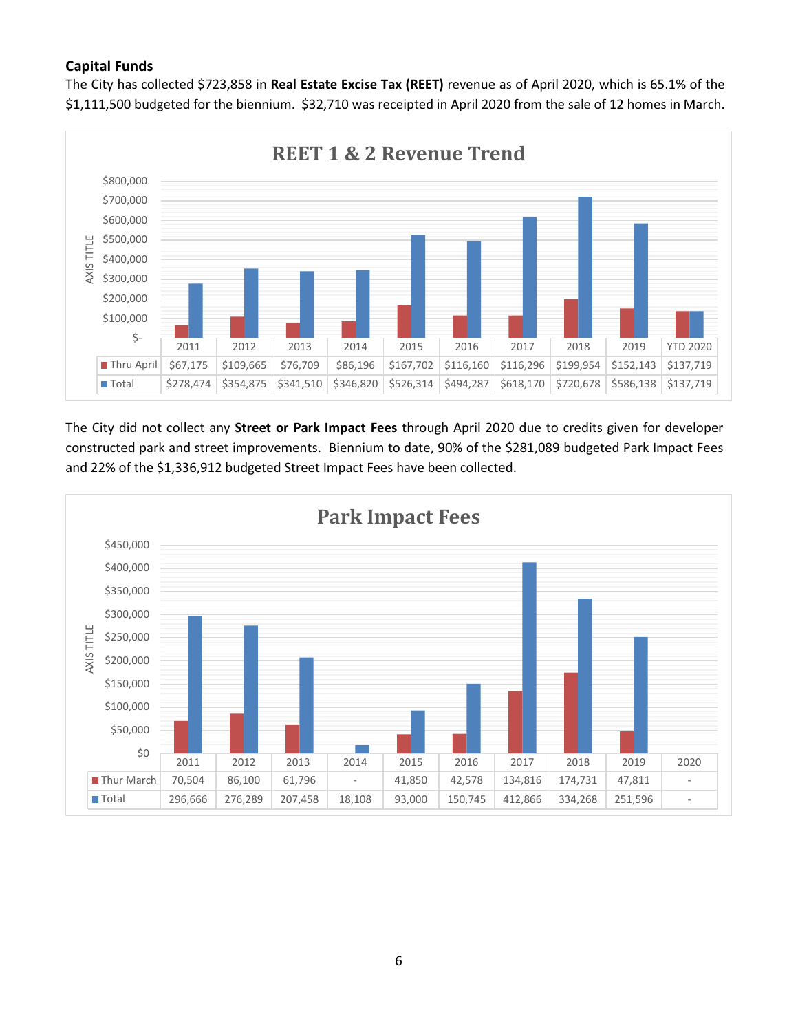### **Capital Funds**

The City has collected \$723,858 in **Real Estate Excise Tax (REET)** revenue as of April 2020, which is 65.1% of the \$1,111,500 budgeted for the biennium. \$32,710 was receipted in April 2020 from the sale of 12 homes in March.



The City did not collect any **Street or Park Impact Fees** through April 2020 due to credits given for developer constructed park and street improvements. Biennium to date, 90% of the \$281,089 budgeted Park Impact Fees and 22% of the \$1,336,912 budgeted Street Impact Fees have been collected.

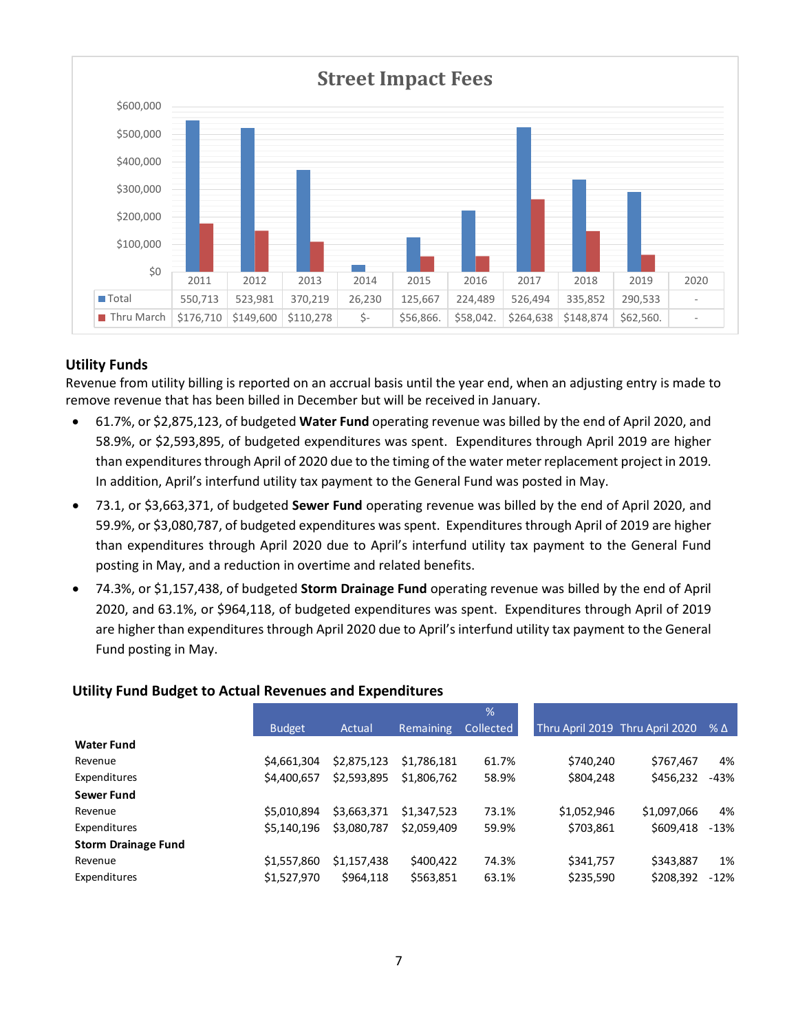

#### **Utility Funds**

Revenue from utility billing is reported on an accrual basis until the year end, when an adjusting entry is made to remove revenue that has been billed in December but will be received in January.

- 61.7%, or \$2,875,123, of budgeted **Water Fund** operating revenue was billed by the end of April 2020, and 58.9%, or \$2,593,895, of budgeted expenditures was spent. Expenditures through April 2019 are higher than expenditures through April of 2020 due to the timing of the water meter replacement project in 2019. In addition, April's interfund utility tax payment to the General Fund was posted in May.
- 73.1, or \$3,663,371, of budgeted **Sewer Fund** operating revenue was billed by the end of April 2020, and 59.9%, or \$3,080,787, of budgeted expenditures was spent. Expenditures through April of 2019 are higher than expenditures through April 2020 due to April's interfund utility tax payment to the General Fund posting in May, and a reduction in overtime and related benefits.
- 74.3%, or \$1,157,438, of budgeted **Storm Drainage Fund** operating revenue was billed by the end of April 2020, and 63.1%, or \$964,118, of budgeted expenditures was spent. Expenditures through April of 2019 are higher than expenditures through April 2020 due to April's interfund utility tax payment to the General Fund posting in May.

#### **Utility Fund Budget to Actual Revenues and Expenditures**

|                            |               |             |                  | %         |             |                                               |        |
|----------------------------|---------------|-------------|------------------|-----------|-------------|-----------------------------------------------|--------|
|                            | <b>Budget</b> | Actual      | <b>Remaining</b> | Collected |             | Thru April 2019 Thru April 2020 $\%$ $\Delta$ |        |
| <b>Water Fund</b>          |               |             |                  |           |             |                                               |        |
| Revenue                    | \$4,661,304   | \$2,875,123 | \$1.786.181      | 61.7%     | \$740,240   | \$767.467                                     | 4%     |
| Expenditures               | \$4,400,657   | \$2,593,895 | \$1,806,762      | 58.9%     | \$804,248   | \$456,232                                     | $-43%$ |
| <b>Sewer Fund</b>          |               |             |                  |           |             |                                               |        |
| Revenue                    | \$5.010.894   | \$3,663,371 | \$1,347,523      | 73.1%     | \$1,052,946 | \$1,097,066                                   | 4%     |
| Expenditures               | \$5,140,196   | \$3,080,787 | \$2,059,409      | 59.9%     | \$703,861   | \$609,418                                     | $-13%$ |
| <b>Storm Drainage Fund</b> |               |             |                  |           |             |                                               |        |
| Revenue                    | \$1,557,860   | \$1,157,438 | \$400,422        | 74.3%     | \$341,757   | \$343.887                                     | 1%     |
| Expenditures               | \$1,527,970   | \$964,118   | \$563,851        | 63.1%     | \$235,590   | \$208,392                                     | $-12%$ |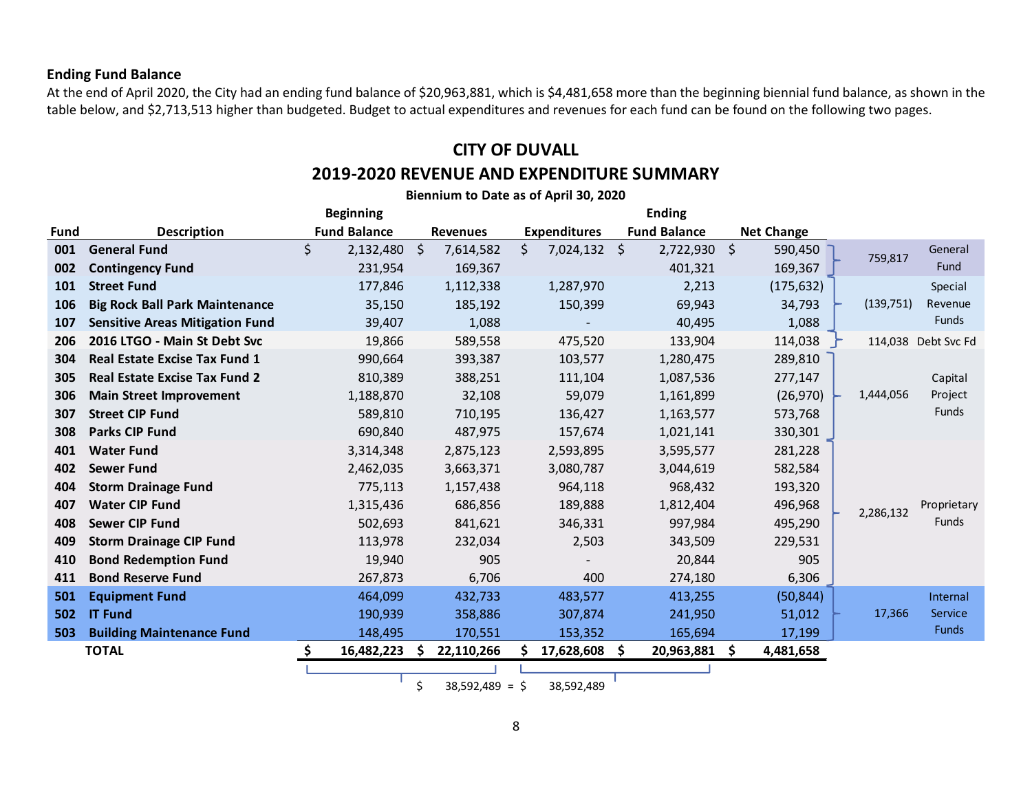#### **Ending Fund Balance**

At the end of April 2020, the City had an ending fund balance of \$20,963,881, which is \$4,481,658 more than the beginning biennial fund balance, as shown in the table below, and \$2,713,513 higher than budgeted. Budget to actual expenditures and revenues for each fund can be found on the following two pages.

## **CITY OF DUVALL**

### **2019-2020 REVENUE AND EXPENDITURE SUMMARY**

**Biennium to Date as of April 30, 2020**

|      |                                        | <b>Beginning</b>    |                        |                       | <b>Ending</b>       |                   |                          |
|------|----------------------------------------|---------------------|------------------------|-----------------------|---------------------|-------------------|--------------------------|
| Fund | <b>Description</b>                     | <b>Fund Balance</b> | <b>Revenues</b>        | <b>Expenditures</b>   | <b>Fund Balance</b> | <b>Net Change</b> |                          |
| 001  | <b>General Fund</b>                    | \$<br>2,132,480     | - \$<br>7,614,582      | \$.<br>$7,024,132$ \$ | $2,722,930$ \$      | 590,450           | General<br>759,817       |
| 002  | <b>Contingency Fund</b>                | 231,954             | 169,367                |                       | 401,321             | 169,367           | Fund                     |
| 101  | <b>Street Fund</b>                     | 177,846             | 1,112,338              | 1,287,970             | 2,213               | (175, 632)        | Special                  |
| 106  | <b>Big Rock Ball Park Maintenance</b>  | 35,150              | 185,192                | 150,399               | 69,943              | 34,793            | (139, 751)<br>Revenue    |
| 107  | <b>Sensitive Areas Mitigation Fund</b> | 39,407              | 1,088                  |                       | 40,495              | 1,088             | Funds                    |
| 206  | 2016 LTGO - Main St Debt Svc           | 19,866              | 589,558                | 475,520               | 133,904             | 114,038           | 114,038 Debt Svc Fd      |
| 304  | <b>Real Estate Excise Tax Fund 1</b>   | 990,664             | 393,387                | 103,577               | 1,280,475           | 289,810           |                          |
| 305  | <b>Real Estate Excise Tax Fund 2</b>   | 810,389             | 388,251                | 111,104               | 1,087,536           | 277,147           | Capital                  |
| 306  | <b>Main Street Improvement</b>         | 1,188,870           | 32,108                 | 59,079                | 1,161,899           | (26, 970)         | Project<br>1,444,056     |
| 307  | <b>Street CIP Fund</b>                 | 589,810             | 710,195                | 136,427               | 1,163,577           | 573,768           | Funds                    |
| 308  | <b>Parks CIP Fund</b>                  | 690,840             | 487,975                | 157,674               | 1,021,141           | 330,301           |                          |
| 401  | <b>Water Fund</b>                      | 3,314,348           | 2,875,123              | 2,593,895             | 3,595,577           | 281,228           |                          |
| 402  | <b>Sewer Fund</b>                      | 2,462,035           | 3,663,371              | 3,080,787             | 3,044,619           | 582,584           |                          |
| 404  | <b>Storm Drainage Fund</b>             | 775,113             | 1,157,438              | 964,118               | 968,432             | 193,320           |                          |
| 407  | <b>Water CIP Fund</b>                  | 1,315,436           | 686,856                | 189,888               | 1,812,404           | 496,968           | Proprietary<br>2,286,132 |
| 408  | <b>Sewer CIP Fund</b>                  | 502,693             | 841,621                | 346,331               | 997,984             | 495,290           | <b>Funds</b>             |
| 409  | <b>Storm Drainage CIP Fund</b>         | 113,978             | 232,034                | 2,503                 | 343,509             | 229,531           |                          |
| 410  | <b>Bond Redemption Fund</b>            | 19,940              | 905                    |                       | 20,844              | 905               |                          |
| 411  | <b>Bond Reserve Fund</b>               | 267,873             | 6,706                  | 400                   | 274,180             | 6,306             |                          |
| 501  | <b>Equipment Fund</b>                  | 464,099             | 432,733                | 483,577               | 413,255             | (50, 844)         | Internal                 |
| 502  | <b>IT Fund</b>                         | 190,939             | 358,886                | 307,874               | 241,950             | 51,012            | 17,366<br>Service        |
| 503  | <b>Building Maintenance Fund</b>       | 148,495             | 170,551                | 153,352               | 165,694             | 17,199            | Funds                    |
|      | <b>TOTAL</b>                           | S.<br>16,482,223    | <b>S</b><br>22,110,266 | 17,628,608            | \$<br>20,963,881    | \$<br>4,481,658   |                          |
|      |                                        |                     |                        |                       |                     |                   |                          |

 $\text{5}$  38,592,489 =  $\text{5}$  38,592,489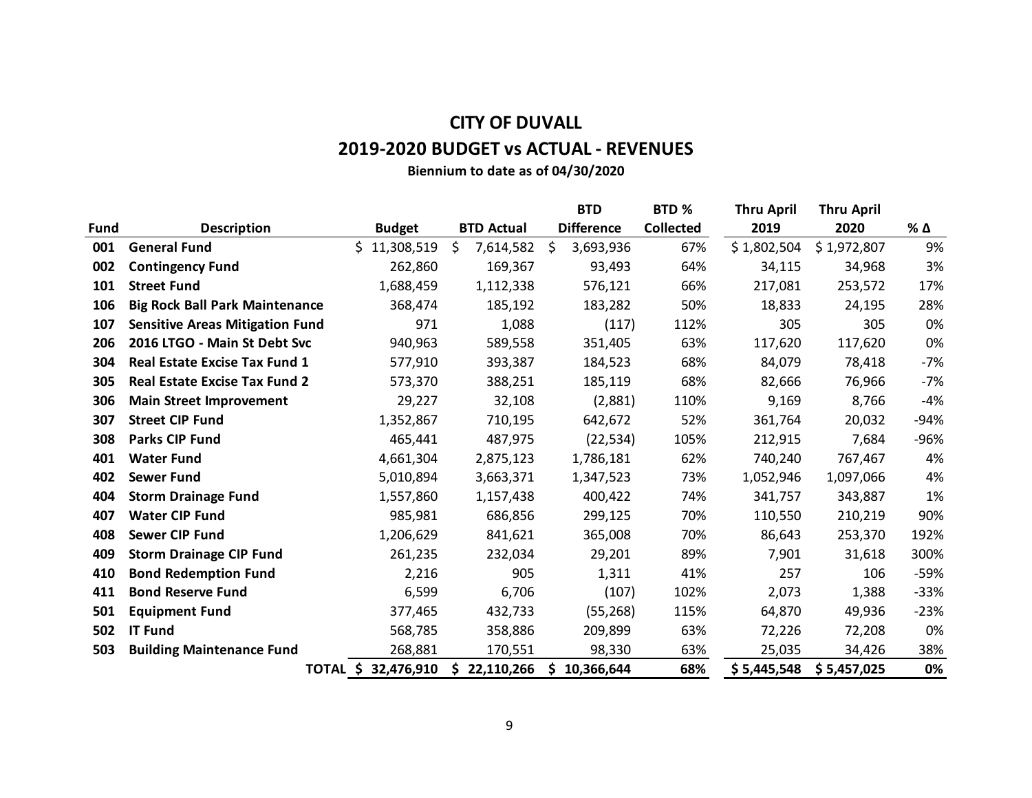# **CITY OF DUVALL**

# **2019-2020 BUDGET vs ACTUAL - REVENUES**

**Biennium to date as of 04/30/2020**

|             |                                        |                 |                   |           | <b>BTD</b>        | BTD %            | <b>Thru April</b> | <b>Thru April</b> |        |
|-------------|----------------------------------------|-----------------|-------------------|-----------|-------------------|------------------|-------------------|-------------------|--------|
| <b>Fund</b> | <b>Description</b>                     | <b>Budget</b>   | <b>BTD Actual</b> |           | <b>Difference</b> | <b>Collected</b> | 2019              | 2020              | % Δ    |
| 001         | <b>General Fund</b>                    | S<br>11,308,519 | \$                | 7,614,582 | \$<br>3,693,936   | 67%              | \$1,802,504       | \$1,972,807       | 9%     |
| 002         | <b>Contingency Fund</b>                | 262,860         |                   | 169,367   | 93,493            | 64%              | 34,115            | 34,968            | 3%     |
| 101         | <b>Street Fund</b>                     | 1,688,459       |                   | 1,112,338 | 576,121           | 66%              | 217,081           | 253,572           | 17%    |
| 106         | <b>Big Rock Ball Park Maintenance</b>  | 368,474         |                   | 185,192   | 183,282           | 50%              | 18,833            | 24,195            | 28%    |
| 107         | <b>Sensitive Areas Mitigation Fund</b> | 971             |                   | 1,088     | (117)             | 112%             | 305               | 305               | 0%     |
| 206         | 2016 LTGO - Main St Debt Svc           | 940,963         |                   | 589,558   | 351,405           | 63%              | 117,620           | 117,620           | 0%     |
| 304         | <b>Real Estate Excise Tax Fund 1</b>   | 577,910         |                   | 393,387   | 184,523           | 68%              | 84,079            | 78,418            | $-7%$  |
| 305         | <b>Real Estate Excise Tax Fund 2</b>   | 573,370         |                   | 388,251   | 185,119           | 68%              | 82,666            | 76,966            | $-7%$  |
| 306         | <b>Main Street Improvement</b>         | 29,227          |                   | 32,108    | (2,881)           | 110%             | 9,169             | 8,766             | $-4%$  |
| 307         | <b>Street CIP Fund</b>                 | 1,352,867       |                   | 710,195   | 642,672           | 52%              | 361,764           | 20,032            | $-94%$ |
| 308         | <b>Parks CIP Fund</b>                  | 465,441         |                   | 487,975   | (22, 534)         | 105%             | 212,915           | 7,684             | -96%   |
| 401         | <b>Water Fund</b>                      | 4,661,304       |                   | 2,875,123 | 1,786,181         | 62%              | 740,240           | 767,467           | 4%     |
| 402         | <b>Sewer Fund</b>                      | 5,010,894       |                   | 3,663,371 | 1,347,523         | 73%              | 1,052,946         | 1,097,066         | 4%     |
| 404         | <b>Storm Drainage Fund</b>             | 1,557,860       |                   | 1,157,438 | 400,422           | 74%              | 341,757           | 343,887           | 1%     |
| 407         | <b>Water CIP Fund</b>                  | 985,981         |                   | 686,856   | 299,125           | 70%              | 110,550           | 210,219           | 90%    |
| 408         | <b>Sewer CIP Fund</b>                  | 1,206,629       |                   | 841,621   | 365,008           | 70%              | 86,643            | 253,370           | 192%   |
| 409         | <b>Storm Drainage CIP Fund</b>         | 261,235         |                   | 232,034   | 29,201            | 89%              | 7,901             | 31,618            | 300%   |
| 410         | <b>Bond Redemption Fund</b>            | 2,216           |                   | 905       | 1,311             | 41%              | 257               | 106               | -59%   |
| 411         | <b>Bond Reserve Fund</b>               | 6,599           |                   | 6,706     | (107)             | 102%             | 2,073             | 1,388             | $-33%$ |
| 501         | <b>Equipment Fund</b>                  | 377,465         |                   | 432,733   | (55, 268)         | 115%             | 64,870            | 49,936            | $-23%$ |
| 502         | <b>IT Fund</b>                         | 568,785         |                   | 358,886   | 209,899           | 63%              | 72,226            | 72,208            | 0%     |
| 503         | <b>Building Maintenance Fund</b>       | 268,881         |                   | 170,551   | 98,330            | 63%              | 25,035            | 34,426            | 38%    |
|             | TOTAL \$                               | 32,476,910      | \$22,110,266      |           | \$<br>10,366,644  | 68%              | \$5,445,548       | \$5,457,025       | 0%     |